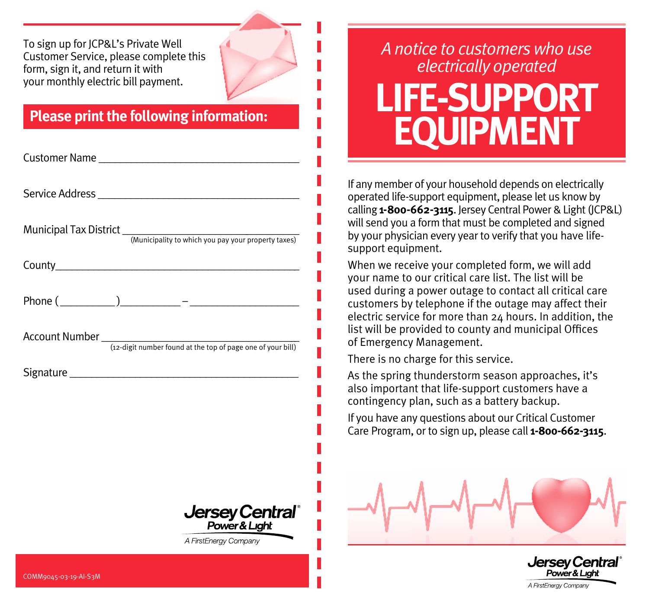To sign up for JCP&L's Private Well Customer Service, please complete this form, sign it, and return it with your monthly electric bill payment.

## **Please print the following information:**

| <b>Jersey Central</b> ®<br>Power&Light<br>A FirstEnergy Company |
|-----------------------------------------------------------------|
|                                                                 |

## *A notice to customers who use electrically operated* **LIFE-SUPPORT EQUIPMENT**

If any member of your household depends on electrically operated life-support equipment, please let us know by calling **1-800-662-3115**. Jersey Central Power & Light (JCP&L) will send you a form that must be completed and signed by your physician every year to verify that you have lifesupport equipment.

When we receive your completed form, we will add your name to our critical care list. The list will be used during a power outage to contact all critical care customers by telephone if the outage may affect their electric service for more than 24 hours. In addition, the list will be provided to county and municipal Offices of Emergency Management.

There is no charge for this service.

As the spring thunderstorm season approaches, it's also important that life-support customers have a contingency plan, such as a battery backup.

If you have any questions about our Critical Customer Care Program, or to sign up, please call **1-800-662-3115**.